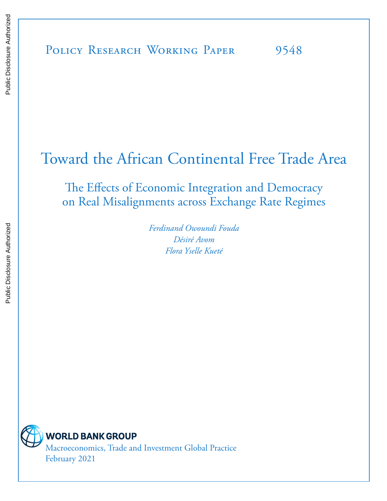# Toward the African Continental Free Trade Area

The Effects of Economic Integration and Democracy on Real Misalignments across Exchange Rate Regimes

> *Ferdinand Owoundi Fouda Désiré Avom Flora Yselle Kueté*

**WORLD BANK GROUP** 

Macroeconomics, Trade and Investment Global Practice February 2021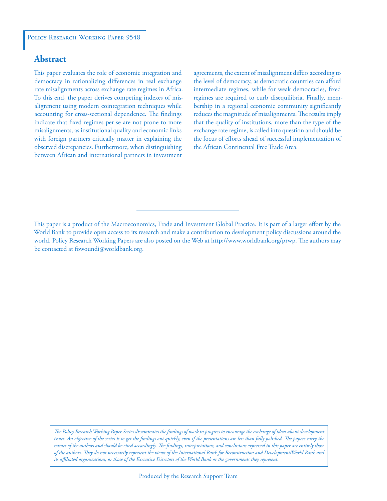# **Abstract**

This paper evaluates the role of economic integration and democracy in rationalizing differences in real exchange rate misalignments across exchange rate regimes in Africa. To this end, the paper derives competing indexes of misalignment using modern cointegration techniques while accounting for cross-sectional dependence. The findings indicate that fixed regimes per se are not prone to more misalignments, as institutional quality and economic links with foreign partners critically matter in explaining the observed discrepancies. Furthermore, when distinguishing between African and international partners in investment agreements, the extent of misalignment differs according to the level of democracy, as democratic countries can afford intermediate regimes, while for weak democracies, fixed regimes are required to curb disequilibria. Finally, membership in a regional economic community significantly reduces the magnitude of misalignments. The results imply that the quality of institutions, more than the type of the exchange rate regime, is called into question and should be the focus of efforts ahead of successful implementation of the African Continental Free Trade Area.

*The Policy Research Working Paper Series disseminates the findings of work in progress to encourage the exchange of ideas about development*  issues. An objective of the series is to get the findings out quickly, even if the presentations are less than fully polished. The papers carry the *names of the authors and should be cited accordingly. The findings, interpretations, and conclusions expressed in this paper are entirely those of the authors. They do not necessarily represent the views of the International Bank for Reconstruction and Development/World Bank and its affiliated organizations, or those of the Executive Directors of the World Bank or the governments they represent.*

This paper is a product of the Macroeconomics, Trade and Investment Global Practice. It is part of a larger effort by the World Bank to provide open access to its research and make a contribution to development policy discussions around the world. Policy Research Working Papers are also posted on the Web at http://www.worldbank.org/prwp. The authors may be contacted at fowoundi@worldbank.org.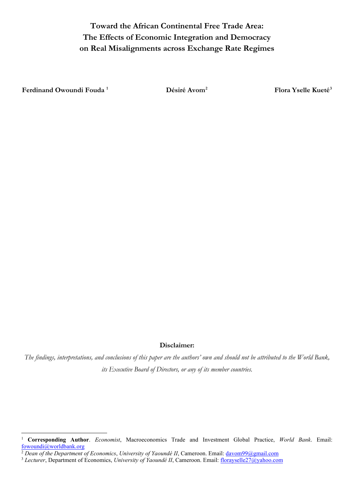**Toward the African Continental Free Trade Area: The Effects of Economic Integration and Democracy on Real Misalignments across Exchange Rate Regimes**

**Ferdinand Owoundi Fouda [1](#page-2-0) Désiré Avom[2](#page-2-1) Flora Yselle Kueté[3](#page-2-2)**

### **Disclaimer:**

*The findings, interpretations, and conclusions of this paper are the authors' own and should not be attributed to the World Bank, its Executive Board of Directors, or any of its member countries.* 

<span id="page-2-0"></span><sup>1</sup> **Corresponding Author**. *Economist*, Macroeconomics Trade and Investment Global Practice, *World Bank*. Email:

<span id="page-2-1"></span> $\frac{1}{2}$  Dean of the Department of Economics, University of Yaoundé II, Cameroon. Email: davom99@gmail.com<br>3 Lecturer, Department of Economics, University of Yaoundé II, Cameroon. Email: [florayselle27@yahoo.com](mailto:florayselle27@yahoo.com)

<span id="page-2-2"></span>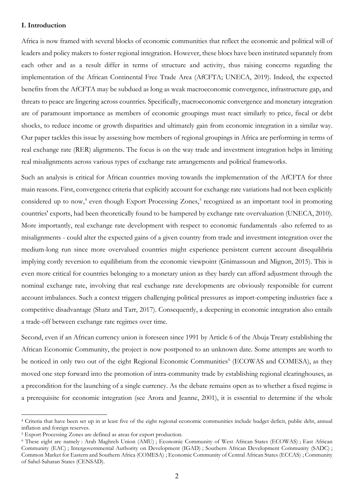#### **I. Introduction**

Africa is now framed with several blocks of economic communities that reflect the economic and political will of leaders and policy makers to foster regional integration. However, these blocs have been instituted separately from each other and as a result differ in terms of structure and activity, thus raising concerns regarding the implementation of the African Continental Free Trade Area (AfCFTA; UNECA, 2019). Indeed, the expected benefits from the AfCFTA may be subdued as long as weak macroeconomic convergence, infrastructure gap, and threats to peace are lingering across countries. Specifically, macroeconomic convergence and monetary integration are of paramount importance as members of economic groupings must react similarly to price, fiscal or debt shocks, to reduce income or growth disparities and ultimately gain from economic integration in a similar way. Our paper tackles this issue by assessing how members of regional groupings in Africa are performing in terms of real exchange rate (RER) alignments. The focus is on the way trade and investment integration helps in limiting real misalignments across various types of exchange rate arrangements and political frameworks.

Such an analysis is critical for African countries moving towards the implementation of the AfCFTA for three main reasons. First, convergence criteria that explicitly account for exchange rate variations had not been explicitly considered up to now, [4](#page-3-0) even though Export Processing Zones, [5](#page-3-1) recognized as an important tool in promoting countries' exports, had been theoretically found to be hampered by exchange rate overvaluation (UNECA, 2010). More importantly, real exchange rate development with respect to economic fundamentals -also referred to as misalignments - could alter the expected gains of a given country from trade and investment integration over the medium-long run since more overvalued countries might experience persistent current account disequilibria implying costly reversion to equilibrium from the economic viewpoint (Gnimassoun and Mignon, 2015). This is even more critical for countries belonging to a monetary union as they barely can afford adjustment through the nominal exchange rate, involving that real exchange rate developments are obviously responsible for current account imbalances. Such a context triggers challenging political pressures as import-competing industries face a competitive disadvantage (Shatz and Tarr, 2017). Consequently, a deepening in economic integration also entails a trade-off between exchange rate regimes over time.

Second, even if an African currency union is foreseen since 1991 by Article 6 of the Abuja Treaty establishing the African Economic Community, the project is now postponed to an unknown date. Some attempts are worth to be noticed in only two out of the eight Regional Economic Communities<sup>[6](#page-3-2)</sup> (ECOWAS and COMESA), as they moved one step forward into the promotion of intra-community trade by establishing regional clearinghouses, as a precondition for the launching of a single currency. As the debate remains open as to whether a fixed regime is a prerequisite for economic integration (see Arora and Jeanne, 2001), it is essential to determine if the whole

<span id="page-3-0"></span><sup>4</sup> Criteria that have been set up in at least five of the eight regional economic communities include budget deficit, public debt, annual inflation and foreign reserves.

<span id="page-3-1"></span><sup>5</sup> Export Processing Zones are defined as areas for export production.

<span id="page-3-2"></span><sup>6</sup> These eight are namely : Arab Maghreb Union (AMU) ; Economic Community of West African States (ECOWAS) ; East African Community (EAC) ; Intergovernmental Authority on Development (IGAD) ; Southern African Development Community (SADC) ; Common Market for Eastern and Southern Africa (COMESA) ; Economic Community of Central African States (ECCAS) ; Community of Sahel-Saharan States (CENSAD).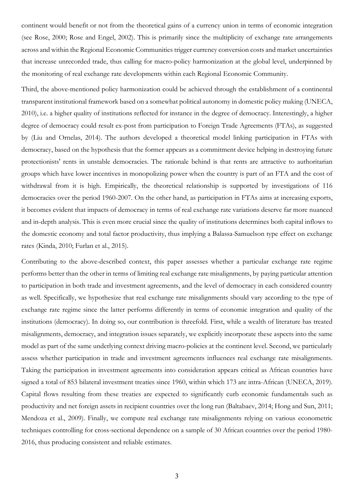continent would benefit or not from the theoretical gains of a currency union in terms of economic integration (see Rose, 2000; Rose and Engel, 2002). This is primarily since the multiplicity of exchange rate arrangements across and within the Regional Economic Communities trigger currency conversion costs and market uncertainties that increase unrecorded trade, thus calling for macro-policy harmonization at the global level, underpinned by the monitoring of real exchange rate developments within each Regional Economic Community.

Third, the above-mentioned policy harmonization could be achieved through the establishment of a continental transparent institutional framework based on a somewhat political autonomy in domestic policy making (UNECA, 2010), i.e. a higher quality of institutions reflected for instance in the degree of democracy. Interestingly, a higher degree of democracy could result ex-post from participation to Foreign Trade Agreements (FTAs), as suggested by (Liu and Ornelas, 2014). The authors developed a theoretical model linking participation in FTAs with democracy, based on the hypothesis that the former appears as a commitment device helping in destroying future protectionists' rents in unstable democracies. The rationale behind is that rents are attractive to authoritarian groups which have lower incentives in monopolizing power when the country is part of an FTA and the cost of withdrawal from it is high. Empirically, the theoretical relationship is supported by investigations of 116 democracies over the period 1960-2007. On the other hand, as participation in FTAs aims at increasing exports, it becomes evident that impacts of democracy in terms of real exchange rate variations deserve far more nuanced and in-depth analysis. This is even more crucial since the quality of institutions determines both capital inflows to the domestic economy and total factor productivity, thus implying a Balassa-Samuelson type effect on exchange rates (Kinda, 2010; Furlan et al., 2015).

Contributing to the above-described context, this paper assesses whether a particular exchange rate regime performs better than the other in terms of limiting real exchange rate misalignments, by paying particular attention to participation in both trade and investment agreements, and the level of democracy in each considered country as well. Specifically, we hypothesize that real exchange rate misalignments should vary according to the type of exchange rate regime since the latter performs differently in terms of economic integration and quality of the institutions (democracy). In doing so, our contribution is threefold. First, while a wealth of literature has treated misalignments, democracy, and integration issues separately, we explicitly incorporate these aspects into the same model as part of the same underlying context driving macro-policies at the continent level. Second, we particularly assess whether participation in trade and investment agreements influences real exchange rate misalignments. Taking the participation in investment agreements into consideration appears critical as African countries have signed a total of 853 bilateral investment treaties since 1960, within which 173 are intra-African (UNECA, 2019). Capital flows resulting from these treaties are expected to significantly curb economic fundamentals such as productivity and net foreign assets in recipient countries over the long run (Baltabaev, 2014; Hong and Sun, 2011; Mendoza et al., 2009). Finally, we compute real exchange rate misalignments relying on various econometric techniques controlling for cross-sectional dependence on a sample of 30 African countries over the period 1980- 2016, thus producing consistent and reliable estimates.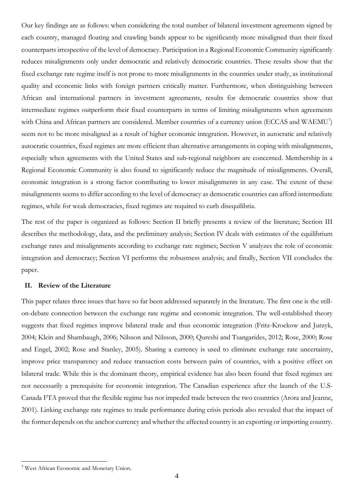Our key findings are as follows: when considering the total number of bilateral investment agreements signed by each country, managed floating and crawling bands appear to be significantly more misaligned than their fixed counterparts irrespective of the level of democracy. Participation in a Regional Economic Community significantly reduces misalignments only under democratic and relatively democratic countries. These results show that the fixed exchange rate regime itself is not prone to more misalignments in the countries under study, as institutional quality and economic links with foreign partners critically matter. Furthermore, when distinguishing between African and international partners in investment agreements, results for democratic countries show that intermediate regimes outperform their fixed counterparts in terms of limiting misalignments when agreements with China and African partners are considered. Member countries of a currency union (ECCAS and WAEMU<sup>7</sup>) seem not to be more misaligned as a result of higher economic integration. However, in autocratic and relatively autocratic countries, fixed regimes are more efficient than alternative arrangements in coping with misalignments, especially when agreements with the United States and sub-regional neighbors are concerned. Membership in a Regional Economic Community is also found to significantly reduce the magnitude of misalignments. Overall, economic integration is a strong factor contributing to lower misalignments in any case. The extent of these misalignments seems to differ according to the level of democracy as democratic countries can afford intermediate regimes, while for weak democracies, fixed regimes are required to curb disequilibria.

The rest of the paper is organized as follows: Section II briefly presents a review of the literature; Section III describes the methodology, data, and the preliminary analysis; Section IV deals with estimates of the equilibrium exchange rates and misalignments according to exchange rate regimes; Section V analyzes the role of economic integration and democracy; Section VI performs the robustness analysis; and finally, Section VII concludes the paper.

#### **II. Review of the Literature**

This paper relates three issues that have so far been addressed separately in the literature. The first one is the stillon-debate connection between the exchange rate regime and economic integration. The well-established theory suggests that fixed regimes improve bilateral trade and thus economic integration (Fritz-Krockow and Jurzyk, 2004; Klein and Shambaugh, 2006; Nilsson and Nilsson, 2000; Qureshi and Tsangarides, 2012; Rose, 2000; Rose and Engel, 2002; Rose and Stanley, 2005). Sharing a currency is used to eliminate exchange rate uncertainty, improve price transparency and reduce transaction costs between pairs of countries, with a positive effect on bilateral trade. While this is the dominant theory, empirical evidence has also been found that fixed regimes are not necessarily a prerequisite for economic integration. The Canadian experience after the launch of the U.S-Canada FTA proved that the flexible regime has not impeded trade between the two countries (Arora and Jeanne, 2001). Linking exchange rate regimes to trade performance during crisis periods also revealed that the impact of the former depends on the anchor currency and whether the affected country is an exporting or importing country.

<span id="page-5-0"></span><sup>7</sup> West African Economic and Monetary Union.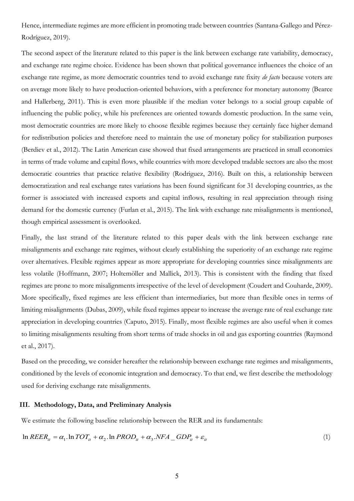Hence, intermediate regimes are more efficient in promoting trade between countries (Santana-Gallego and Pérez-Rodríguez, 2019).

The second aspect of the literature related to this paper is the link between exchange rate variability, democracy, and exchange rate regime choice. Evidence has been shown that political governance influences the choice of an exchange rate regime, as more democratic countries tend to avoid exchange rate fixity *de facto* because voters are on average more likely to have production-oriented behaviors, with a preference for monetary autonomy (Bearce and Hallerberg, 2011). This is even more plausible if the median voter belongs to a social group capable of influencing the public policy, while his preferences are oriented towards domestic production. In the same vein, most democratic countries are more likely to choose flexible regimes because they certainly face higher demand for redistribution policies and therefore need to maintain the use of monetary policy for stabilization purposes (Berdiev et al., 2012). The Latin American case showed that fixed arrangements are practiced in small economies in terms of trade volume and capital flows, while countries with more developed tradable sectors are also the most democratic countries that practice relative flexibility (Rodriguez, 2016). Built on this, a relationship between democratization and real exchange rates variations has been found significant for 31 developing countries, as the former is associated with increased exports and capital inflows, resulting in real appreciation through rising demand for the domestic currency (Furlan et al., 2015). The link with exchange rate misalignments is mentioned, though empirical assessment is overlooked.

Finally, the last strand of the literature related to this paper deals with the link between exchange rate misalignments and exchange rate regimes, without clearly establishing the superiority of an exchange rate regime over alternatives. Flexible regimes appear as more appropriate for developing countries since misalignments are less volatile (Hoffmann, 2007; Holtemöller and Mallick, 2013). This is consistent with the finding that fixed regimes are prone to more misalignments irrespective of the level of development (Coudert and Couharde, 2009). More specifically, fixed regimes are less efficient than intermediaries, but more than flexible ones in terms of limiting misalignments (Dubas, 2009), while fixed regimes appear to increase the average rate of real exchange rate appreciation in developing countries (Caputo, 2015). Finally, most flexible regimes are also useful when it comes to limiting misalignments resulting from short terms of trade shocks in oil and gas exporting countries (Raymond et al., 2017).

Based on the preceding, we consider hereafter the relationship between exchange rate regimes and misalignments, conditioned by the levels of economic integration and democracy. To that end, we first describe the methodology used for deriving exchange rate misalignments.

## **III. Methodology, Data, and Preliminary Analysis**

We estimate the following baseline relationship between the RER and its fundamentals:

$$
\ln REER_{it} = \alpha_1 \cdot \ln TOT_{it} + \alpha_2 \cdot \ln PROD_{it} + \alpha_3 \cdot NFA\_GDP_{it} + \varepsilon_{it}
$$
\n<sup>(1)</sup>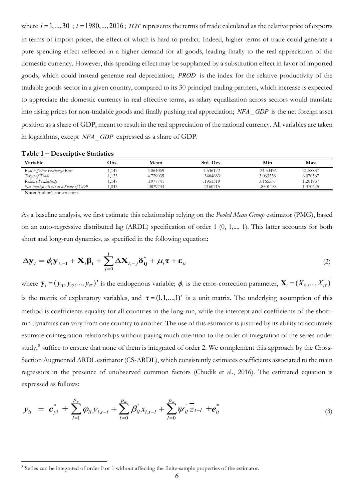where  $i = 1, ..., 30$ ;  $t = 1980, ..., 2016$ ; *TOT* represents the terms of trade calculated as the relative price of exports in terms of import prices, the effect of which is hard to predict. Indeed, higher terms of trade could generate a pure spending effect reflected in a higher demand for all goods, leading finally to the real appreciation of the domestic currency. However, this spending effect may be supplanted by a substitution effect in favor of imported goods, which could instead generate real depreciation; *PROD* is the index for the relative productivity of the tradable goods sector in a given country, compared to its 30 principal trading partners, which increase is expected to appreciate the domestic currency in real effective terms, as salary equalization across sectors would translate into rising prices for non-tradable goods and finally pushing real appreciation; *NFA* GDP is the net foreign asset position as a share of GDP, meant to result in the real appreciation of the national currency. All variables are taken in logarithms, except *NFA* GDP expressed as a share of GDP.

**Table 1 – Descriptive Statistics**

| Variable                             | Эbs.  | Mean     | Std. Dev. | Min         | Max      |
|--------------------------------------|-------|----------|-----------|-------------|----------|
| Real Effective Exchange Rate         | ,147  | 4.064069 | 4.536172  | $-24.50476$ | 21.58857 |
| Terms of Trade                       | ,133  | 4.729035 | 3484683   | 3.063238    | 6.070567 |
| Relative Productivity                | .147  | 1977741  | 1951319   | .0165537    | .201957  |
| Net Foreign Assets as a Share of GDP | 1.043 | .0829734 | .2160715  | $-.8501158$ | .370645  |
| .                                    |       |          |           |             |          |

**Note:** Author's construction.

As a baseline analysis, we first estimate this relationship relying on the *Pooled Mean Group* estimator (PMG), based on an auto-regressive distributed lag (ARDL) specification of order 1 (0, 1,..., 1). This latter accounts for both short and long-run dynamics, as specified in the following equation:

$$
\Delta \mathbf{y}_{i} = \boldsymbol{\phi}_{i} \mathbf{y}_{i,-1} + \mathbf{X}_{i} \boldsymbol{\beta}_{i} + \sum_{j=0}^{1} \Delta \mathbf{X}_{i,-j} \delta_{ij}^{*} + \mu_{i} \boldsymbol{\tau} + \boldsymbol{\epsilon}_{it}
$$
\n(2)

where  $\mathbf{y}_i = (y_{i1}, y_{i2},..., y_{iT})'$  is the endogenous variable;  $\phi_i$  is the error-correction parameter,  $\mathbf{X}_i = (X_{i1},..., X_{iT})'$ is the matrix of explanatory variables, and  $\tau = (1,1,...,1)$ <sup>t</sup> is a unit matrix. The underlying assumption of this method is coefficients equality for all countries in the long-run, while the intercept and coefficients of the shortrun dynamics can vary from one country to another. The use of this estimator is justified by its ability to accurately estimate cointegration relationships without paying much attention to the order of integration of the series under study,<sup>[8](#page-7-0)</sup> suffice to ensure that none of them is integrated of order 2. We complement this approach by the Cross-Section Augmented ARDL estimator (CS-ARDL), which consistently estimates coefficients associated to the main regressors in the presence of unobserved common factors (Chudik et al., 2016). The estimated equation is expressed as follows:

$$
y_{it} = \mathbf{c}_{yi}^* + \sum_{l=1}^{p_y} \varphi_{il} y_{i,t-l} + \sum_{l=0}^{p_w} \beta_{il}^{\dagger} x_{i,t-l} + \sum_{l=0}^{p_w} \psi_{il}^{\dagger} \overline{z}_{t-l} + \mathbf{e}_{it}^*
$$
(3)

<span id="page-7-0"></span><sup>&</sup>lt;sup>8</sup> Series can be integrated of order 0 or 1 without affecting the finite-sample properties of the estimator.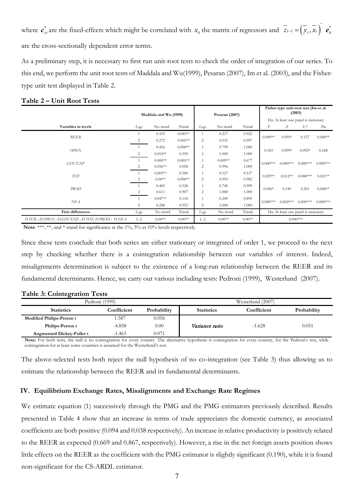where  $\mathbf{c}_{yi}^*$  are the fixed-effects which might be correlated with  $x_{it}$  the matrix of regressors and  $\overline{z}_{t-l} = (\overline{y}_t, \overline{x}_t) \cdot \overline{e}_{it}^*$ are the cross-sectionally dependent error terms.

As a preliminary step, it is necessary to first run unit-root tests to check the order of integration of our series. To this end, we perform the unit root tests of Maddala and Wu(1999), Pesaran (2007), Im et al. (2003), and the Fishertype unit test displayed in Table 2.

|                                               |                | Maddala and Wu (1999) |           |                | Pesaran (2007) |          |                                      |            | Fisher-type unit-root test (Im-et al.<br>(2003) |            |
|-----------------------------------------------|----------------|-----------------------|-----------|----------------|----------------|----------|--------------------------------------|------------|-------------------------------------------------|------------|
|                                               |                |                       |           |                |                |          | Ha: At least one panel is stationary |            |                                                 |            |
| Variables in levels                           | Lags           | No trend              | Trend     | Lags           | No trend       | Trend    | $\boldsymbol{P}$                     | Ζ          | $L^*$                                           | Pm         |
| REER                                          |                | 0.435                 | $0.045**$ |                | 0.237          | 0.922    | $0.049**$                            | $0.095*$   | 0.127                                           | $0.040**$  |
|                                               | 2              | 0.272                 | $0.005**$ | $\overline{2}$ | 0.931          | 0.997    |                                      |            |                                                 |            |
| <b>OPEN</b>                                   |                | 0.456                 | $0.000**$ |                | 0.799          | 1.000    | 0.183                                | $0.099*$   | $0.092*$                                        | 0.188      |
|                                               | 2              | $0.014**$             | 0.359     | $\overline{2}$ | 1.000          | 1.000    |                                      |            |                                                 |            |
| GOVEXP                                        |                | $0.000**$             | $0.001**$ |                | $0.009**$      | 0.677    | $0.000***$                           | $0.000***$ | $0.000***$                                      | $0.000***$ |
|                                               | 2              | $0.056**$             | 0.058     | $\overline{2}$ | 0.996          | 1.000    |                                      |            |                                                 |            |
| <b>TOT</b>                                    |                | $0.005**$             | 0.580     |                | 0.127          | 0.127    | $0.029**$                            | $0.012**$  | $0.008***$                                      | $0.021**$  |
|                                               | 2              | $0.00**$              | $0.000**$ | $\overline{2}$ | 0.993          | 0.982    |                                      |            |                                                 |            |
| <b>PROD</b>                                   |                | 0.405                 | 0.528     |                | 0.745          | 0.999    | $0.056*$                             | 0.330      | 0.201                                           | $0.048**$  |
|                                               | $\overline{c}$ | 0.611                 | 0.907     | $\overline{2}$ | 1.000          | 1.000    |                                      |            |                                                 |            |
| NFA                                           |                | $0.047**$             | 0.110     |                | 0.249          | 0.895    | $0.000***$                           | $0.002***$ | $0.000***$                                      | $0.000***$ |
|                                               | 2              | 0.248                 | 0.953     | 2              | 1.000          | 1.000    |                                      |            |                                                 |            |
| First differences                             | Lags           | No trend              | Trend     | Lags           | No trend       | Trend    |                                      |            | Ha: At least one panel is stationary            |            |
| D.TCR; D.OPEN; D.GOVEXP; D.TOT; D.PROD; D.NFA | 1, 2           | $0.00**$              | $0.00**$  | 1, 2           | $0.00**$       | $0.00**$ |                                      |            | $0.000***$                                      |            |

#### **Table 2 – Unit Root Tests**

**Note**: \*\*\*, \*\*, and \* stand for significance at the 1%, 5% et 10% levels respectively.

Since these tests conclude that both series are either stationary or integrated of order 1, we proceed to the next step by checking whether there is a cointegration relationship between our variables of interest. Indeed, misalignments determination is subject to the existence of a long-run relationship between the REER and its fundamental determinants. Hence, we carry out various including tests: Pedroni (1999), Westerlund (2007).

| <b>Table 3: Cointegration Tests</b> |  |
|-------------------------------------|--|
|                                     |  |

| Pedroni (1999)                   |             | Westerlund (2007) |                       |             |             |
|----------------------------------|-------------|-------------------|-----------------------|-------------|-------------|
| <b>Statistics</b>                | Coefficient | Probability       | <b>Statistics</b>     | Coefficient | Probability |
| <b>Modified Philips-Perron t</b> | 587         | 0.056             |                       |             |             |
| Philips-Perron t                 | $-4.858$    | 0.00              | <i>Variance ratio</i> | $-1.628$    | 0.051       |
| <b>Augmented Dickey-Fuller t</b> | .463        | 0.071             |                       |             |             |

Note: For both tests, the null is no cointegration for every country. The alternative hypothesis is cointegration for every country, for the Pedroni's test, while cointegration for at least some countries is assumed for the Westerlund's test.

The above-selected tests both reject the null hypothesis of no co-integration (see Table 3) thus allowing us to estimate the relationship between the REER and its fundamental determinants.

## **IV. Equilibrium Exchange Rates, Misalignments and Exchange Rate Regimes**

We estimate equation (1) successively through the PMG and the PMG estimators previously described. Results presented in Table 4 show that an increase in terms of trade appreciates the domestic currency, as associated coefficients are both positive (0.094 and 0.038 respectively). An increase in relative productivity is positively related to the REER as expected (0.669 and 0.867, respectively). However, a rise in the net foreign assets position shows little effects on the REER as the coefficient with the PMG estimator is slightly significant (0.190), while it is found non-significant for the CS-ARDL estimator.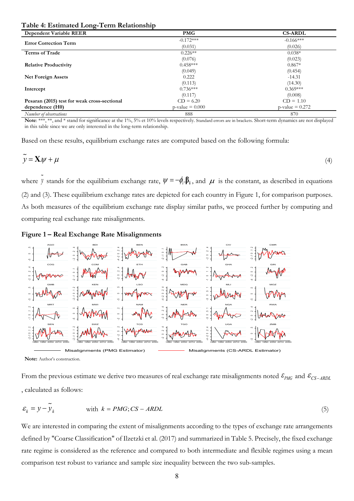**Table 4: Estimated Long-Term Relationship**

| <b>Dependent Variable REER</b>               | <b>PMG</b>           | <b>CS-ARDL</b>     |
|----------------------------------------------|----------------------|--------------------|
| <b>Error Correction Term</b>                 | $-0.172***$          | $-0.166***$        |
|                                              | (0.031)              | (0.026)            |
| <b>Terms of Trade</b>                        | $0.226**$            | $0.038*$           |
|                                              | (0.076)              | (0.023)            |
| <b>Relative Productivity</b>                 | $0.458***$           | $0.867*$           |
|                                              | (0.049)              | (0.454)            |
| <b>Net Foreign Assets</b>                    | 0.222                | $-14.31$           |
|                                              | (0.113)              | (14.30)            |
| Intercept                                    | $0.736***$           | $0.369***$         |
|                                              | (0.117)              | (0.008)            |
| Pesaran (2015) test for weak cross-sectional | $CD = 6.20$          | $CD = 1.10$        |
| dependence $(H0)$                            | $p$ -value = $0.000$ | $p$ -value = 0.272 |
| Number of observations                       | 888                  | 870                |

Note: \*\*\*, \*\*, and \* stand for significance at the 1%, 5% et 10% levels respectively. Standard errors are in brackets. Short-term dynamics are not displayed in this table since we are only interested in the long-term relationship.

Based on these results, equilibrium exchange rates are computed based on the following formula:

$$
\widetilde{y} = \mathbf{X}.\psi + \mu \tag{4}
$$

where  $\tilde{y}$  stands for the equilibrium exchange rate,  $\psi = -\phi_i \cdot \beta_i$ , and  $\mu$  is the constant, as described in equations (2) and (3). These equilibrium exchange rates are depicted for each country in Figure 1, for comparison purposes. As both measures of the equilibrium exchange rate display similar paths, we proceed further by computing and comparing real exchange rate misalignments.

#### **Figure 1 – Real Exchange Rate Misalignments**



**Note:** Author's construction.

From the previous estimate we derive two measures of real exchange rate misalignments noted  $\epsilon_{PMG}$  and  $\epsilon_{CS-ARDL}$ , calculated as follows:

$$
\varepsilon_k = y - \tilde{y}_k \qquad \text{with } k = PMG; CS - ARDL \tag{5}
$$

We are interested in comparing the extent of misalignments according to the types of exchange rate arrangements defined by "Coarse Classification" of Ilzetzki et al. (2017) and summarized in Table 5. Precisely, the fixed exchange rate regime is considered as the reference and compared to both intermediate and flexible regimes using a mean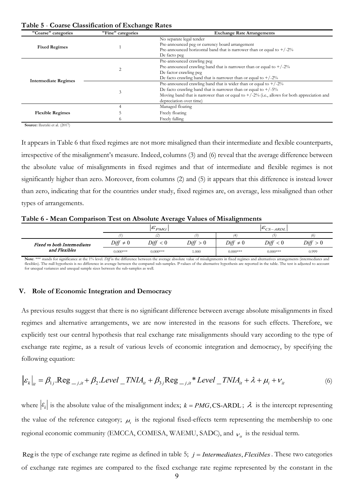| Table 5 - Coarse Classification of Exchange Rates |  |  |  |
|---------------------------------------------------|--|--|--|
|---------------------------------------------------|--|--|--|

| "Coarse" categories         | "Fine" categories | <b>Exchange Rate Arrangements</b>                                                              |
|-----------------------------|-------------------|------------------------------------------------------------------------------------------------|
|                             |                   | No separate legal tender                                                                       |
| <b>Fixed Regimes</b>        |                   | Pre-announced peg or currency board arrangement                                                |
|                             |                   | Pre-announced horizontal band that is narrower than or equal to $+/-2\%$                       |
|                             |                   | De facto peg                                                                                   |
|                             |                   | Pre-announced crawling peg                                                                     |
|                             |                   | Pre-announced crawling band that is narrower than or equal to $+/-2\%$                         |
|                             |                   | De factor crawling peg                                                                         |
| <b>Intermediate Regimes</b> |                   | De facto crawling band that is narrower than or equal to $+/-2\%$                              |
|                             |                   | Pre-announced crawling band that is wider than or equal to $+/-2\%$                            |
|                             |                   | De facto crawling band that is narrower than or equal to $+/-5\%$                              |
|                             | 3                 | Moving band that is narrower than or equal to $+/-2\%$ (i.e., allows for both appreciation and |
|                             |                   | depreciation over time)                                                                        |
|                             |                   | Managed floating                                                                               |
| <b>Flexible Regimes</b>     |                   | Freely floating                                                                                |
|                             |                   | Freely falling                                                                                 |

**Source:** Ilzetzki et al. (2017)

It appears in Table 6 that fixed regimes are not more misaligned than their intermediate and flexible counterparts, irrespective of the misalignment's measure. Indeed, columns (3) and (6) reveal that the average difference between the absolute value of misalignments in fixed regimes and that of intermediate and flexible regimes is not significantly higher than zero. Moreover, from columns (2) and (5) it appears that this difference is instead lower than zero, indicating that for the countries under study, fixed regimes are, on average, less misaligned than other types of arrangements.

#### **Table 6 - Mean Comparison Test on Absolute Average Values of Misalignments**

|                             |                  | $ \mathcal{E}_{PMG} $ |       |                  | $ \mathcal{E}_{CS-ARDL} $ |       |
|-----------------------------|------------------|-----------------------|-------|------------------|---------------------------|-------|
|                             |                  |                       |       |                  |                           | (6)   |
| Fixed vs both Intermediates | Diff<br>$\neq 0$ | Diff<br>< 0           | Diff  | Diff<br>$\neq 0$ | Diff<br>$\lt$ (           | Diff  |
| and Flexibles               | $0.000***$       | $0.000***$            | 1.000 | $0.000***$       | $0.000***$                | 0.999 |

Note: \*\*\* stands for significance at the 1% level. *Diff* is the difference between the average absolute value of misalignments in fixed regimes and alternatives arrangements (intermediates and flexibles). The null hypothesis is no difference in average between the compared sub-samples. P-values of the alternative hypothesis are reported in the table. The test is adjusted to account for unequal variances and unequal sample sizes between the sub-samples as well.

#### **V. Role of Economic Integration and Democracy**

As previous results suggest that there is no significant difference between average absolute misalignments in fixed regimes and alternative arrangements, we are now interested in the reasons for such effects. Therefore, we explicitly test our central hypothesis that real exchange rate misalignments should vary according to the type of exchange rate regime, as a result of various levels of economic integration and democracy, by specifying the following equation:

$$
\left|\varepsilon_{k}\right|_{it} = \beta_{1j}.\text{Reg}_{-j,it} + \beta_{2}.\text{Level\_TNIA}_{it} + \beta_{3j}\text{Reg}_{-j,it} * \text{Level\_TNIA}_{it} + \lambda + \mu_{i} + \nu_{it}
$$
(6)

where  $|\varepsilon_k|$  is the absolute value of the misalignment index;  $k = PMG$ , CS-ARDL;  $\lambda$  is the intercept representing the value of the reference category;  $\mu_i$  is the regional fixed-effects term representing the membership to one regional economic community (EMCCA, COMESA, WAEMU, SADC), and  $_{V_{ij}}$  is the residual term.

Reg is the type of exchange rate regime as defined in table 5;  $j = Intermediates, Flexibles$ . These two categories of exchange rate regimes are compared to the fixed exchange rate regime represented by the constant in the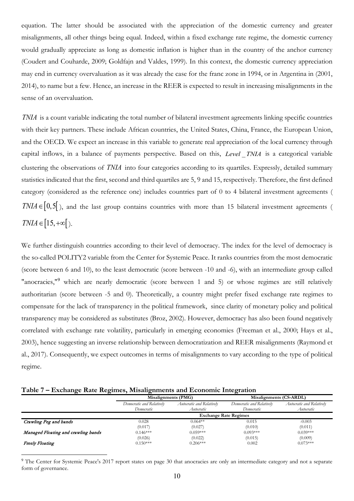equation. The latter should be associated with the appreciation of the domestic currency and greater misalignments, all other things being equal. Indeed, within a fixed exchange rate regime, the domestic currency would gradually appreciate as long as domestic inflation is higher than in the country of the anchor currency (Coudert and Couharde, 2009; Goldfajn and Valdes, 1999). In this context, the domestic currency appreciation may end in currency overvaluation as it was already the case for the franc zone in 1994, or in Argentina in (2001, 2014), to name but a few. Hence, an increase in the REER is expected to result in increasing misalignments in the sense of an overvaluation.

*TNIA* is a count variable indicating the total number of bilateral investment agreements linking specific countries with their key partners. These include African countries, the United States, China, France, the European Union, and the OECD. We expect an increase in this variable to generate real appreciation of the local currency through capital inflows, in a balance of payments perspective. Based on this, *Level TNIA* is a categorical variable clustering the observations of *TNIA* into four categories according to its quartiles. Expressly, detailed summary statistics indicated that the first, second and third quartiles are 5, 9 and 15, respectively. Therefore, the first defined category (considered as the reference one) includes countries part of 0 to 4 bilateral investment agreements (  $TNIA \in [0,5]$ ), and the last group contains countries with more than 15 bilateral investment agreements (  $T N I A \in [15, +\infty[$ ).

We further distinguish countries according to their level of democracy. The index for the level of democracy is the so-called POLITY2 variable from the Center for Systemic Peace. It ranks countries from the most democratic (score between 6 and 10), to the least democratic (score between -10 and -6), with an intermediate group called "anocracies,"<sup>[9](#page-11-0)</sup> which are nearly democratic (score between 1 and 5) or whose regimes are still relatively authoritarian (score between -5 and 0). Theoretically, a country might prefer fixed exchange rate regimes to compensate for the lack of transparency in the political framework, since clarity of monetary policy and political transparency may be considered as substitutes (Broz, 2002). However, democracy has also been found negatively correlated with exchange rate volatility, particularly in emerging economies (Freeman et al., 2000; Hays et al., 2003), hence suggesting an inverse relationship between democratization and REER misalignments (Raymond et al., 2017). Consequently, we expect outcomes in terms of misalignments to vary according to the type of political regime.

|  |  |  |  | Table 7 - Exchange Rate Regimes, Misalignments and Economic Integration |  |  |
|--|--|--|--|-------------------------------------------------------------------------|--|--|
|--|--|--|--|-------------------------------------------------------------------------|--|--|

|                                     | Misalignments (PMG)                     |                                         | Misalignments (CS-ARDL)                 |                                         |
|-------------------------------------|-----------------------------------------|-----------------------------------------|-----------------------------------------|-----------------------------------------|
|                                     | Democratic and Relatively<br>Democratic | Autocratic and Relatively<br>Autocratic | Democratic and Relatively<br>Democratic | Autocratic and Relatively<br>Autocratic |
|                                     |                                         | <b>Exchange Rate Regimes</b>            |                                         |                                         |
| Crawling Peg and bands              | 0.028                                   | $0.064**$                               | 0.015                                   | $-0.003$                                |
| Managed Floating and crawling bands | (0.017)<br>$0.146***$<br>(0.026)        | (0.027)<br>$0.059***$<br>(0.022)        | (0.010)<br>$0.093***$<br>(0.015)        | (0.011)<br>$0.039***$<br>(0.009)        |
| <b>Freely Floating</b>              | $0.150***$                              | $0.206***$                              | 0.002                                   | $0.073***$                              |

<span id="page-11-0"></span><sup>9</sup> The Center for Systemic Peace's 2017 report states on page 30 that anocracies are only an intermediate category and not a separate form of governance.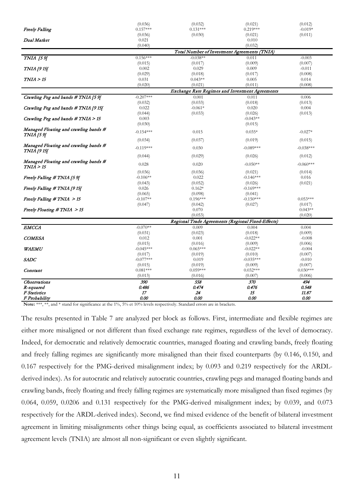|                                          | (0.036)     | (0.032)                                                | (0.021)                                      | (0.012)     |
|------------------------------------------|-------------|--------------------------------------------------------|----------------------------------------------|-------------|
| <b>Freely Falling</b>                    | $0.157***$  | $0.131***$                                             | $0.219***$                                   | $-0.019*$   |
|                                          | (0.036)     | (0.030)                                                | (0.021)                                      | (0.011)     |
| Dual Market                              | 0.021       |                                                        | 0.010                                        |             |
|                                          | (0.040)     |                                                        | (0.032)                                      |             |
|                                          |             |                                                        | Total Number of Investment Agreements (TNIA) |             |
| TNIA [59]                                | $0.156***$  | $-0.038**$                                             | 0.011                                        | $-0.003$    |
|                                          | (0.015)     | (0.017)                                                | (0.009)                                      | (0.007)     |
| TNIA [9 15[                              | 0.002       | 0.029                                                  | 0.009                                        | $-0.011$    |
|                                          | (0.029)     | (0.018)                                                | (0.017)                                      | (0.008)     |
| TNIA > 15                                | 0.031       | $0.043**$                                              | 0.005                                        | 0.014       |
|                                          | (0.020)     | (0.021)                                                | (0.011)                                      | (0.008)     |
|                                          |             | <b>Exchange Rate Regimes and Investment Agreements</b> |                                              |             |
| Crawling Peg and bands # TNIA [5 9]      | $-0.207***$ | 0.001                                                  | 0.011                                        | 0.006       |
|                                          | (0.032)     | (0.033)                                                | (0.018)                                      | (0.013)     |
| Crawling Peg and bands # TNIA [9 15]     | 0.022       | $-0.061*$                                              | 0.020                                        | 0.004       |
|                                          | (0.044)     | (0.033)                                                | (0.026)                                      | (0.013)     |
| Crawling Peg and bands $\# T N I A > 15$ | 0.003       |                                                        | $-0.043**$                                   |             |
|                                          | (0.030)     |                                                        | (0.015)                                      |             |
| Managed Floating and crawling bands #    | $-0.154***$ | 0.015                                                  | $0.035*$                                     | $-0.027*$   |
| <b>TNIA</b> [59]                         |             |                                                        |                                              |             |
|                                          | (0.034)     | (0.037)                                                | (0.019)                                      | (0.015)     |
| Managed Floating and crawling bands #    | $-0.119***$ | 0.030                                                  | $-0.089***$                                  | $-0.038***$ |
| TNIA [9 15]                              |             |                                                        |                                              |             |
| Managed Floating and crawling bands #    | (0.044)     | (0.029)                                                | (0.026)                                      | (0.012)     |
| TNIA > 15                                | 0.028       | 0.020                                                  | $-0.050**$                                   | $-0.060***$ |
|                                          | (0.036)     | (0.036)                                                | (0.021)                                      | (0.014)     |
| Freely Falling # TNIA [5 9[              | $-0.106**$  | 0.022                                                  | $-0.146***$                                  | 0.016       |
|                                          | (0.043)     | (0.052)                                                | (0.026)                                      | (0.021)     |
| Freely Falling # TNIA [9 15]             | 0.026       | $0.162*$                                               | $-0.169***$                                  |             |
|                                          | (0.065)     | (0.098)                                                | (0.041)                                      |             |
| Freely Falling $\# T N I A > 15$         | $-0.107**$  | $0.196***$                                             | $-0.150***$                                  | $0.053***$  |
|                                          | (0.047)     | (0.042)                                                | (0.027)                                      | (0.017)     |
| Freely Floating # TNIA $>15$             |             | 0.070                                                  |                                              | $0.043**$   |
|                                          |             | (0.053)                                                |                                              | (0.020)     |
|                                          |             | Regional Trade Agreements (Regional Fixed-Effects)     |                                              |             |
| <b>EMCCA</b>                             | $-0.070**$  | 0.009                                                  | 0.004                                        | 0.004       |
|                                          | (0.031)     | (0.023)                                                | (0.018)                                      | (0.009)     |
| <b>COMESA</b>                            | 0.012       | 0.001                                                  | $-0.022**$                                   | $-0.008$    |
|                                          | (0.015)     | (0.016)                                                | (0.009)                                      | (0.006)     |
| <b>WAEMU</b>                             | $-0.045***$ | $0.065***$                                             | $-0.022**$                                   | $-0.004$    |
|                                          | (0.017)     | (0.019)                                                | (0.010)                                      | (0.007)     |
| <b>SADC</b>                              | $-0.077***$ | 0.019                                                  | $-0.035***$                                  | $-0.010$    |
|                                          | (0.015)     | (0.019)                                                | (0.009)                                      | (0.007)     |
| Constant                                 | $0.081***$  | $0.059***$                                             | $0.032***$                                   | $0.030***$  |
|                                          | (0.013)     | (0.016)                                                | (0.007)                                      | (0.006)     |
| <b>Observations</b>                      | 390         | 558                                                    | 370                                          | 494         |
| R-squared                                | 0.486       | 0.474                                                  | 0.476                                        | 0.548       |
| F Statistics                             | 17          | 24                                                     | 15                                           | 11.87       |
| F Probability                            | 0.00        | 0.00                                                   | 0.00                                         | 0.00        |

**Note:** \*\*\*, and \* stand for significance at the 1%, 5% et 10% levels respectively. Standard errors are in brackets.

The results presented in Table 7 are analyzed per block as follows. First, intermediate and flexible regimes are either more misaligned or not different than fixed exchange rate regimes, regardless of the level of democracy. Indeed, for democratic and relatively democratic countries, managed floating and crawling bands, freely floating and freely falling regimes are significantly more misaligned than their fixed counterparts (by 0.146, 0.150, and 0.167 respectively for the PMG-derived misalignment index; by 0.093 and 0.219 respectively for the ARDLderived index). As for autocratic and relatively autocratic countries, crawling pegs and managed floating bands and crawling bands, freely floating and freely falling regimes are systematically more misaligned than fixed regimes (by 0.064, 0.059, 0.0206 and 0.131 respectively for the PMG-derived misalignment index; by 0.039, and 0.073 respectively for the ARDL-derived index). Second, we find mixed evidence of the benefit of bilateral investment agreement in limiting misalignments other things being equal, as coefficients associated to bilateral investment agreement levels (TNIA) are almost all non-significant or even slightly significant.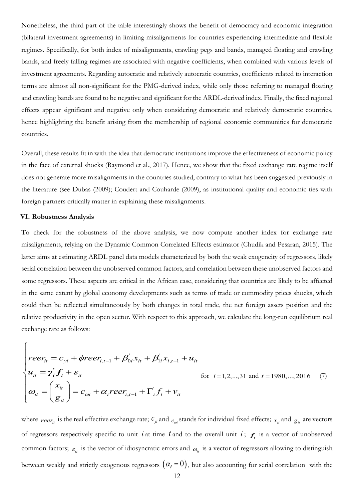Nonetheless, the third part of the table interestingly shows the benefit of democracy and economic integration (bilateral investment agreements) in limiting misalignments for countries experiencing intermediate and flexible regimes. Specifically, for both index of misalignments, crawling pegs and bands, managed floating and crawling bands, and freely falling regimes are associated with negative coefficients, when combined with various levels of investment agreements. Regarding autocratic and relatively autocratic countries, coefficients related to interaction terms are almost all non-significant for the PMG-derived index, while only those referring to managed floating and crawling bands are found to be negative and significant for the ARDL-derived index. Finally, the fixed regional effects appear significant and negative only when considering democratic and relatively democratic countries, hence highlighting the benefit arising from the membership of regional economic communities for democratic countries.

Overall, these results fit in with the idea that democratic institutions improve the effectiveness of economic policy in the face of external shocks (Raymond et al., 2017). Hence, we show that the fixed exchange rate regime itself does not generate more misalignments in the countries studied, contrary to what has been suggested previously in the literature (see Dubas (2009); Coudert and Couharde (2009), as institutional quality and economic ties with foreign partners critically matter in explaining these misalignments.

#### **VI. Robustness Analysis**

 $\sqrt{ }$ 

To check for the robustness of the above analysis, we now compute another index for exchange rate misalignments, relying on the Dynamic Common Correlated Effects estimator (Chudik and Pesaran, 2015). The latter aims at estimating ARDL panel data models characterized by both the weak exogeneity of regressors, likely serial correlation between the unobserved common factors, and correlation between these unobserved factors and some regressors. These aspects are critical in the African case, considering that countries are likely to be affected in the same extent by global economy developments such as terms of trade or commodity prices shocks, which could then be reflected simultaneously by both changes in total trade, the net foreign assets position and the relative productivity in the open sector. With respect to this approach, we calculate the long-run equilibrium real exchange rate as follows:

$$
\begin{cases}\n\text{reer}_{it} = c_{yi} + \phi \text{reer}_{i, t-1} + \beta_{0i}^{'} x_{it} + \beta_{1i}^{'} x_{i, t-1} + u_{it} \\
u_{it} = \gamma_{i}^{'} f_{t} + \varepsilon_{it} & \text{for } i = 1, 2, \dots, 31 \text{ and } t = 1980, \dots, 2016 \quad (7) \\
\omega_{it} = \begin{pmatrix} x_{it} \\ g_{it} \end{pmatrix} = c_{\omega i} + \alpha_{i} \text{reer}_{i, t-1} + \Gamma_{i}^{'} f_{t} + v_{it}\n\end{cases}
$$

where  $reer_i$  is the real effective exchange rate;  $c_{vi}$  and  $c_{ci}$  stands for individual fixed effects;  $x_i$  and  $g_i$  are vectors of regressors respectively specific to unit *i* at time  $t$  and to the overall unit  $i$ ;  $f$  is a vector of unobserved common factors;  $\varepsilon_{ii}$  is the vector of idiosyncratic errors and  $\omega_{ii}$  is a vector of regressors allowing to distinguish between weakly and strictly exogenous regressors  $(\alpha_i = 0)$ , but also accounting for serial correlation with the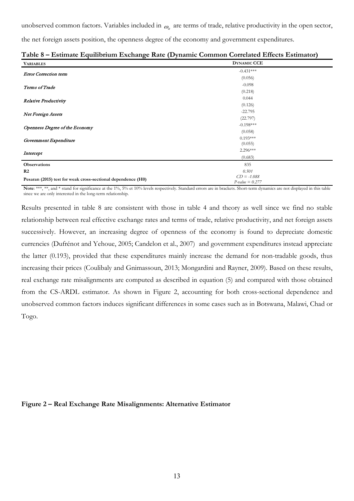unobserved common factors. Variables included in  $\omega$ <sub>*i*</sub> are terms of trade, relative productivity in the open sector,

the net foreign assets position, the openness degree of the economy and government expenditures.

| <b>VARIABLES</b>                                             | <b>DYNAMIC CCE</b>                 |  |
|--------------------------------------------------------------|------------------------------------|--|
| <b>Error Correction term</b>                                 | $-0.431***$                        |  |
|                                                              | (0.056)                            |  |
| Terms of Trade                                               | $-0.098$                           |  |
|                                                              | (0.218)                            |  |
| <b>Relative Productivity</b>                                 | 0.044                              |  |
|                                                              | (0.126)                            |  |
| Net Foreign Assets                                           | $-22.795$                          |  |
|                                                              | (22.797)                           |  |
| Openness Degree of the Economy                               | $-0.198***$                        |  |
|                                                              | (0.058)                            |  |
| Government Expenditure                                       | $0.193***$                         |  |
|                                                              | (0.055)                            |  |
| Intercept                                                    | 2.296***                           |  |
|                                                              | (0.683)                            |  |
| <b>Observations</b>                                          | 835                                |  |
| R <sub>2</sub>                                               | 0.501                              |  |
| Pesaran (2015) test for weak cross-sectional dependence (H0) | $CD = -1.088$<br>$P-value = 0.277$ |  |

Note: \*\*\*, \*\*, and \* stand for significance at the 1%, 5% et 10% levels respectively. Standard errors are in brackets. Short-term dynamics are not displayed in this table since we are only interested in the long-term relationship.

Results presented in table 8 are consistent with those in table 4 and theory as well since we find no stable relationship between real effective exchange rates and terms of trade, relative productivity, and net foreign assets successively. However, an increasing degree of openness of the economy is found to depreciate domestic currencies (Dufrénot and Yehoue, 2005; Candelon et al., 2007) and government expenditures instead appreciate the latter (0.193), provided that these expenditures mainly increase the demand for non-tradable goods, thus increasing their prices (Coulibaly and Gnimassoun, 2013; Mongardini and Rayner, 2009). Based on these results, real exchange rate misalignments are computed as described in equation (5) and compared with those obtained from the CS-ARDL estimator. As shown in Figure 2, accounting for both cross-sectional dependence and unobserved common factors induces significant differences in some cases such as in Botswana, Malawi, Chad or Togo.

**Figure 2 – Real Exchange Rate Misalignments: Alternative Estimator**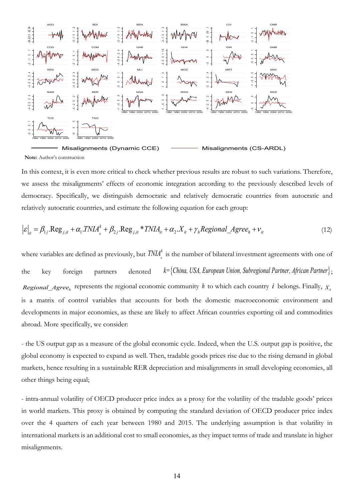

**Note:** Author's construction

In this context, it is even more critical to check whether previous results are robust to such variations. Therefore, we assess the misalignments' effects of economic integration according to the previously described levels of democracy. Specifically, we distinguish democratic and relatively democratic countries from autocratic and relatively autocratic countries, and estimate the following equation for each group:

$$
\left|\varepsilon\right|_{it} = \beta_{1j} \text{.Reg}_{j,it} + \alpha_1 \text{.TNIA}_{it}^k + \beta_{2j} \text{.Reg}_{j,it} * \text{TNIA}_{it} + \alpha_2 \text{.X}_{it} + \gamma_h \text{ Regional}_{\text{.} \text{A} \text{green} k} + \nu_{it}
$$
\n
$$
\tag{12}
$$

where variables are defined as previously, but  $TNIA^k_i$  is the number of bilateral investment agreements with one of the key foreign partners denoted *k= China, USA, European Union, Subregiona* { *l Partner, African Partner*}; *Regional Agree<sub>h</sub>* represents the regional economic community *h* to which each country *i* belongs. Finally,  $X_{ii}$ is a matrix of control variables that accounts for both the domestic macroeconomic environment and developments in major economies, as these are likely to affect African countries exporting oil and commodities abroad. More specifically, we consider:

- the US output gap as a measure of the global economic cycle. Indeed, when the U.S. output gap is positive, the global economy is expected to expand as well. Then, tradable goods prices rise due to the rising demand in global markets, hence resulting in a sustainable RER depreciation and misalignments in small developing economies, all other things being equal;

- intra-annual volatility of OECD producer price index as a proxy for the volatility of the tradable goods' prices in world markets. This proxy is obtained by computing the standard deviation of OECD producer price index over the 4 quarters of each year between 1980 and 2015. The underlying assumption is that volatility in international markets is an additional cost to small economies, as they impact terms of trade and translate in higher misalignments.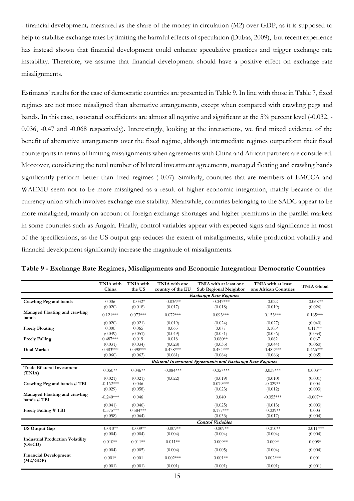- financial development*,* measured as the share of the money in circulation (M2) over GDP, as it is supposed to help to stabilize exchange rates by limiting the harmful effects of speculation (Dubas, 2009), but recent experience has instead shown that financial development could enhance speculative practices and trigger exchange rate instability. Therefore, we assume that financial development should have a positive effect on exchange rate misalignments.

Estimates' results for the case of democratic countries are presented in Table 9. In line with those in Table 7, fixed regimes are not more misaligned than alternative arrangements, except when compared with crawling pegs and bands. In this case, associated coefficients are almost all negative and significant at the 5% percent level (-0.032, - 0.036, -0.47 and -0.068 respectively). Interestingly, looking at the interactions, we find mixed evidence of the benefit of alternative arrangements over the fixed regime, although intermediate regimes outperform their fixed counterparts in terms of limiting misalignments when agreements with China and African partners are considered. Moreover, considering the total number of bilateral investment agreements, managed floating and crawling bands significantly perform better than fixed regimes (-0.07). Similarly, countries that are members of EMCCA and WAEMU seem not to be more misaligned as a result of higher economic integration, mainly because of the currency union which involves exchange rate stability. Meanwhile, countries belonging to the SADC appear to be more misaligned, mainly on account of foreign exchange shortages and higher premiums in the parallel markets in some countries such as Angola. Finally, control variables appear with expected signs and significance in most of the specifications, as the US output gap reduces the extent of misalignments, while production volatility and financial development significantly increase the magnitude of misalignments.

|                                                   | <b>TNIA</b> with<br>China         | <b>TNIA</b> with<br>the US       | <b>TNIA</b> with one<br>country of the EU | TNIA with at least one<br><b>Sub Regional Neighbor</b>    | TNIA with at least<br>one African Countries | <b>TNIA Global</b>          |
|---------------------------------------------------|-----------------------------------|----------------------------------|-------------------------------------------|-----------------------------------------------------------|---------------------------------------------|-----------------------------|
|                                                   |                                   |                                  |                                           | <b>Exchange Rate Regimes</b>                              |                                             |                             |
| Crawling Peg and bands                            | 0.006<br>(0.020)                  | $-0.032*$<br>(0.018)             | $-0.036**$<br>(0.017)                     | $-0.047***$<br>(0.018)                                    | 0.022<br>(0.019)                            | $-0.068**$<br>(0.026)       |
| Managed Floating and crawling<br>bands            | $0.121***$                        | $0.073***$                       | $0.072***$                                | $0.093***$                                                | $0.153***$                                  | $0.165***$                  |
|                                                   | (0.020)                           | (0.021)                          | (0.019)                                   | (0.024)                                                   | (0.027)                                     | (0.040)                     |
| <b>Freely Floating</b>                            | 0.000                             | 0.065                            | 0.065                                     | 0.077                                                     | $0.105*$                                    | $0.117**$                   |
|                                                   | (0.049)                           | (0.051)                          | (0.049)                                   | (0.051)                                                   | (0.056)                                     | (0.054)                     |
| <b>Freely Falling</b>                             | $0.487***$                        | 0.019                            | 0.018                                     | $0.080**$                                                 | 0.062                                       | 0.067                       |
|                                                   | (0.031)                           | (0.034)                          | (0.028)                                   | (0.035)                                                   | (0.044)                                     | (0.060)                     |
| Dual Market                                       | $0.383***$                        | $0.398***$                       | $0.438***$                                | $0.454***$                                                | $0.482***$                                  | $0.466***$                  |
|                                                   | (0.060)                           | (0.063)                          | (0.061)                                   | (0.064)                                                   | (0.066)                                     | (0.065)                     |
|                                                   |                                   |                                  |                                           | Bilateral Investment Agreements and Exchange Rate Regimes |                                             |                             |
| <b>Trade Bilateral Investment</b><br>(TNIA)       | $0.050**$                         | $0.046**$                        | $-0.084***$                               | $-0.057***$                                               | $0.038***$                                  | $0.003**$                   |
| Crawling Peg and bands # TBI                      | (0.021)<br>$-0.162***$<br>(0.029) | (0.021)<br>0.046<br>(0.058)      | (0.022)                                   | (0.019)<br>$0.079***$<br>(0.023)                          | (0.010)<br>$-0.029**$<br>(0.012)            | (0.001)<br>0.004<br>(0.003) |
| Managed Floating and crawling<br>bands # TBI      | $-0.240***$                       | 0.046                            |                                           | 0.040                                                     | $-0.055***$                                 | $-0.007**$                  |
| Freely Falling # TBI                              | (0.041)<br>$-0.575***$<br>(0.058) | (0.046)<br>$0.584***$<br>(0.064) |                                           | (0.025)<br>$0.177***$<br>(0.033)                          | (0.013)<br>$-0.039**$<br>(0.017)            | (0.003)<br>0.003<br>(0.004) |
|                                                   |                                   |                                  |                                           | Control Variables                                         |                                             |                             |
| <b>US Output Gap</b>                              | $-0.010**$<br>(0.004)             | $-0.009**$<br>(0.004)            | $-0.009**$<br>(0.004)                     | $-0.009**$<br>(0.004)                                     | $-0.010**$<br>(0.004)                       | $-0.011***$<br>(0.004)      |
| <b>Industrial Production Volatility</b><br>(OECD) | $0.010**$                         | $0.011**$                        | $0.011**$                                 | $0.009**$                                                 | $0.009*$                                    | $0.008*$                    |
|                                                   | (0.004)                           | (0.005)                          | (0.004)                                   | (0.005)                                                   | (0.004)                                     | (0.004)                     |
| <b>Financial Development</b><br>(M2/GDP)          | $0.001*$                          | 0.001                            | $0.002***$                                | $0.001**$                                                 | $0.002***$                                  | 0.001                       |
|                                                   | (0.001)                           | (0.001)                          | (0.001)                                   | (0.001)                                                   | (0.001)                                     | (0.001)                     |

**Table 9 - Exchange Rate Regimes, Misalignments and Economic Integration: Democratic Countries**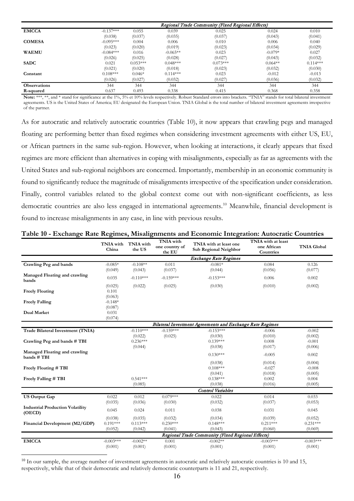|                     |             |            |            | Regional Trade Community (Fixed Regional Effects) |           |            |
|---------------------|-------------|------------|------------|---------------------------------------------------|-----------|------------|
| <b>EMCCA</b>        | $-0.137***$ | 0.055      | 0.039      | 0.025                                             | 0.024     | 0.010      |
|                     | (0.038)     | (0.037)    | (0.035)    | (0.037)                                           | (0.043)   | (0.041)    |
| <b>COMESA</b>       | $-0.095***$ | 0.004      | 0.006      | 0.010                                             | 0.006     | 0.040      |
|                     | (0.023)     | (0.020)    | (0.019)    | (0.023)                                           | (0.034)   | (0.029)    |
| <b>WAEMU</b>        | $-0.084***$ | 0.016      | $-0.065**$ | 0.023                                             | $-0.079*$ | 0.027      |
|                     | (0.026)     | (0.025)    | (0.028)    | (0.027)                                           | (0.043)   | (0.032)    |
| <b>SADC</b>         | 0.021       | $0.053***$ | $0.048***$ | $0.073***$                                        | $0.064**$ | $0.114***$ |
|                     | (0.021)     | (0.020)    | (0.018)    | (0.023)                                           | (0.032)   | (0.030)    |
| Constant            | $0.108***$  | $0.046*$   | $0.114***$ | 0.023                                             | $-0.012$  | $-0.013$   |
|                     | (0.026)     | (0.027)    | (0.032)    | (0.027)                                           | (0.036)   | (0.032)    |
| <b>Observations</b> | 344         | 344        | 344        | 344                                               | 344       | 344        |
| R-squared           | 0.637       | 0.493      | 0.338      | 0.415                                             | 0.368     | 0.358      |

Note: \*\*\*, \*\*, and \* stand for significance at the 1%, 5% et 10% levels respectively. Robust Standard errors into brackets. "TNIA" stands for total bilateral investment agreements. US is the United States of America; EU designated the European Union. TNIA Global is the total number of bilateral investment agreements irrespective of the partner.

As for autocratic and relatively autocratic countries (Table 10), it now appears that crawling pegs and managed floating are performing better than fixed regimes when considering investment agreements with either US, EU, or African partners in the same sub-region. However, when looking at interactions, it clearly appears that fixed regimes are more efficient than alternatives in coping with misalignments, especially as far as agreements with the United States and sub-regional neighbors are concerned. Importantly, membership in an economic community is found to significantly reduce the magnitude of misalignments irrespective of the specification under consideration. Finally, control variables related to the global context come out with non-significant coefficients, as less democratic countries are also less engaged in international agreements. [10](#page-17-0) Meanwhile, financial development is found to increase misalignments in any case, in line with previous results.

|  |  |  | Table 10 - Exchange Rate Regimes, Misalignments and Economic Integration: Autocratic Countries |  |  |
|--|--|--|------------------------------------------------------------------------------------------------|--|--|
|--|--|--|------------------------------------------------------------------------------------------------|--|--|

|                                                   | <b>TNIA</b> with<br>China        | TNIA with<br>the US              | <b>TNIA</b> with<br>one country of<br>the EU | TNIA with at least one<br><b>Sub Regional Neighbor</b>    | TNIA with at least<br>one African<br>Countries | <b>TNIA Global</b>               |
|---------------------------------------------------|----------------------------------|----------------------------------|----------------------------------------------|-----------------------------------------------------------|------------------------------------------------|----------------------------------|
|                                                   |                                  |                                  |                                              | <b>Exchange Rate Regimes</b>                              |                                                |                                  |
| Crawling Peg and bands                            | $-0.085*$<br>(0.049)             | $-0.108**$<br>(0.043)            | 0.011<br>(0.037)                             | $-0.081*$<br>(0.044)                                      | 0.084<br>(0.056)                               | 0.126<br>(0.077)                 |
| Managed Floating and crawling<br>bands            | 0.035                            | $-0.110***$                      | $-0.159***$                                  | $-0.153***$                                               | 0.006                                          | 0.002                            |
| <b>Freely Floating</b>                            | (0.025)<br>0.101<br>(0.063)      | (0.022)                          | (0.025)                                      | (0.030)                                                   | (0.010)                                        | (0.002)                          |
| <b>Freely Falling</b>                             | $-0.148*$<br>(0.087)             |                                  |                                              |                                                           |                                                |                                  |
| Dual Market                                       | 0.031<br>(0.074)                 |                                  |                                              |                                                           |                                                |                                  |
|                                                   |                                  |                                  |                                              | Bilateral Investment Agreements and Exchange Rate Regimes |                                                |                                  |
| Trade Bilateral Investment (TNIA)                 |                                  | $-0.110***$                      | $-0.159***$                                  | $-0.153***$                                               | $-0.006$                                       | $-0.002$                         |
| Crawling Peg and bands # TBI                      |                                  | (0.022)<br>$0.236***$<br>(0.044) | (0.025)                                      | (0.030)<br>$0.139***$<br>(0.038)                          | (0.010)<br>0.008<br>(0.017)                    | (0.002)<br>$-0.001$<br>(0.006)   |
| Managed Floating and crawling<br>bands # TBI      |                                  |                                  |                                              | $0.130***$                                                | $-0.005$                                       | 0.002                            |
| Freely Floating # TBI                             |                                  |                                  |                                              | (0.038)<br>$0.108***$<br>(0.041)                          | (0.014)<br>$-0.027$<br>(0.018)                 | (0.004)<br>$-0.008$<br>(0.005)   |
| Freely Falling # TBI                              |                                  | $0.541***$<br>(0.085)            |                                              | $0.138***$<br>(0.038)                                     | 0.002<br>(0.016)                               | 0.004<br>(0.005)                 |
|                                                   |                                  |                                  |                                              | Control Variables                                         |                                                |                                  |
| <b>US Output Gap</b>                              | 0.022<br>(0.035)                 | 0.012<br>(0.036)                 | $0.079***$<br>(0.030)                        | 0.022<br>(0.032)                                          | 0.014<br>(0.037)                               | 0.033<br>(0.053)                 |
| <b>Industrial Production Volatility</b><br>(OECD) | 0.045                            | 0.024                            | 0.011                                        | 0.038                                                     | 0.031                                          | 0.045                            |
| Financial Development (M2/GDP)                    | (0.038)<br>$0.191***$<br>(0.052) | (0.035)<br>$0.113***$<br>(0.042) | (0.032)<br>$0.230***$<br>(0.041)             | (0.034)<br>$0.148***$<br>(0.043)                          | (0.039)<br>$0.211***$<br>(0.060)               | (0.052)<br>$0.231***$<br>(0.069) |
|                                                   |                                  |                                  |                                              | Regional Trade Community (Fixed Regional Effects)         |                                                |                                  |
| <b>EMCCA</b>                                      | $-0.003***$<br>(0.001)           | $-0.002**$<br>(0.001)            | 0.001<br>(0.001)                             | $-0.002**$<br>(0.001)                                     | $-0.003***$<br>(0.001)                         | $-0.003***$<br>(0.001)           |

<span id="page-17-0"></span> $10$  In our sample, the average number of investment agreements in autocratic and relatively autocratic countries is 10 and 15, respectively, while that of their democratic and relatively democratic counterparts is 11 and 21, respectively.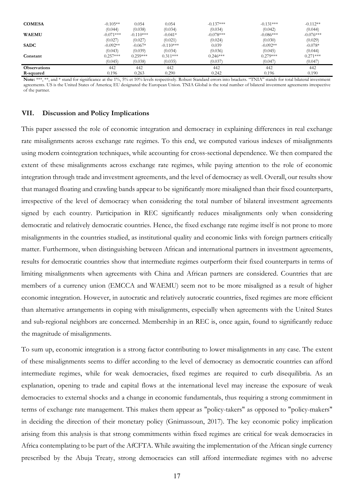| <b>COMESA</b>       | $-0.105**$             | 0.054                  | 0.054                | $-0.137***$            | $-0.131***$            | $-0.112**$             |
|---------------------|------------------------|------------------------|----------------------|------------------------|------------------------|------------------------|
| <b>WAEMU</b>        | (0.044)<br>$-0.071***$ | (0.038)<br>$-0.110***$ | (0.034)<br>$-0.041*$ | (0.034)<br>$-0.078***$ | (0.042)<br>$-0.086***$ | (0.044)<br>$-0.076***$ |
|                     | (0.027)                | (0.027)                | (0.021)              | (0.024)                | (0.030)                | (0.029)                |
| <b>SADC</b>         | $-0.092**$             | $-0.067*$              | $-0.110***$          | 0.039                  | $-0.092**$             | $-0.078*$              |
|                     | (0.043)                | (0.039)                | (0.034)              | (0.036)                | (0.045)                | (0.044)                |
| Constant            | $0.257***$             | $0.259***$             | $0.311***$           | $0.246***$             | $0.279***$             | $0.271***$             |
|                     | (0.045)                | (0.038)                | (0.035)              | (0.037)                | (0.047)                | (0.047)                |
| <b>Observations</b> | 442                    | 442                    | 442                  | 442                    | 442                    | 442                    |
| R-squared           | 0.196                  | 0.263                  | 0.290                | 0.242                  | 0.196                  | 0.190                  |

Note: \*\*\*, \*\*, and \* stand for significance at the 1%, 5% et 10% levels respectively. Robust Standard errors into brackets. "TNIA" stands for total bilateral investment agreements. US is the United States of America; EU designated the European Union. TNIA Global is the total number of bilateral investment agreements irrespective of the partner.

#### **VII. Discussion and Policy Implications**

This paper assessed the role of economic integration and democracy in explaining differences in real exchange rate misalignments across exchange rate regimes. To this end, we computed various indexes of misalignments using modern cointegration techniques, while accounting for cross-sectional dependence. We then compared the extent of these misalignments across exchange rate regimes, while paying attention to the role of economic integration through trade and investment agreements, and the level of democracy as well. Overall, our results show that managed floating and crawling bands appear to be significantly more misaligned than their fixed counterparts, irrespective of the level of democracy when considering the total number of bilateral investment agreements signed by each country. Participation in REC significantly reduces misalignments only when considering democratic and relatively democratic countries. Hence, the fixed exchange rate regime itself is not prone to more misalignments in the countries studied, as institutional quality and economic links with foreign partners critically matter. Furthermore, when distinguishing between African and international partners in investment agreements, results for democratic countries show that intermediate regimes outperform their fixed counterparts in terms of limiting misalignments when agreements with China and African partners are considered. Countries that are members of a currency union (EMCCA and WAEMU) seem not to be more misaligned as a result of higher economic integration. However, in autocratic and relatively autocratic countries, fixed regimes are more efficient than alternative arrangements in coping with misalignments, especially when agreements with the United States and sub-regional neighbors are concerned. Membership in an REC is, once again, found to significantly reduce the magnitude of misalignments.

To sum up, economic integration is a strong factor contributing to lower misalignments in any case. The extent of these misalignments seems to differ according to the level of democracy as democratic countries can afford intermediate regimes, while for weak democracies, fixed regimes are required to curb disequilibria. As an explanation, opening to trade and capital flows at the international level may increase the exposure of weak democracies to external shocks and a change in economic fundamentals, thus requiring a strong commitment in terms of exchange rate management. This makes them appear as "policy-takers" as opposed to "policy-makers" in deciding the direction of their monetary policy (Gnimassoun, 2017). The key economic policy implication arising from this analysis is that strong commitments within fixed regimes are critical for weak democracies in Africa contemplating to be part of the AfCFTA. While awaiting the implementation of the African single currency prescribed by the Abuja Treaty, strong democracies can still afford intermediate regimes with no adverse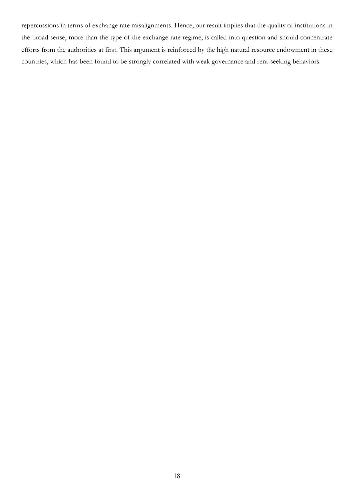repercussions in terms of exchange rate misalignments. Hence, our result implies that the quality of institutions in the broad sense, more than the type of the exchange rate regime, is called into question and should concentrate efforts from the authorities at first. This argument is reinforced by the high natural resource endowment in these countries, which has been found to be strongly correlated with weak governance and rent-seeking behaviors.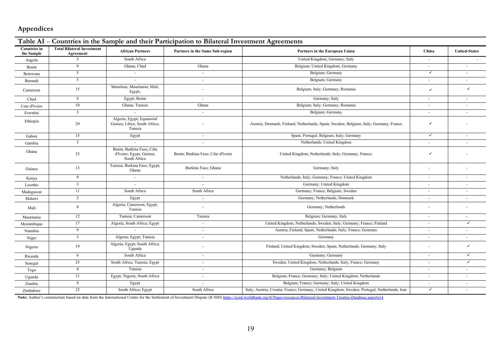| Table AI – Countries in the Sample and their Participation to Bilateral Investment Agreements |                                                |                                                                       |                                    |                                                                                               |                          |                      |  |  |
|-----------------------------------------------------------------------------------------------|------------------------------------------------|-----------------------------------------------------------------------|------------------------------------|-----------------------------------------------------------------------------------------------|--------------------------|----------------------|--|--|
| <b>Countries</b> in<br>the Sample                                                             | <b>Total Bilateral Investment</b><br>Agreement | <b>African Partners</b>                                               | Partners in the Same Sub-region    | Partners in the European Union                                                                | China                    | <b>United-States</b> |  |  |
| Angola                                                                                        | 5                                              | South Africa                                                          |                                    | United Kingdom; Germany; Italy                                                                | $\overline{\phantom{a}}$ | $\blacksquare$       |  |  |
| Benin                                                                                         | 9                                              | Ghana, Chad                                                           | Ghana                              | Belgium; United Kingdom; Germany                                                              | $\sim$                   | $\sim$               |  |  |
| Botswana                                                                                      | 5                                              | $\omega$                                                              | $\sim$                             | Belgium; Germany                                                                              | $\checkmark$             |                      |  |  |
| Burundi                                                                                       | 5 <sup>5</sup>                                 | ÷.                                                                    | $\overline{\phantom{a}}$           | Belgium; Germany                                                                              | $\sim$                   | $\sim$               |  |  |
| Cameroon                                                                                      | 15                                             | Mauritius; Mauritania; Mali;<br>Egypt;                                |                                    | Belgium; Italy; Germany; Romania                                                              | $\checkmark$             | $\checkmark$         |  |  |
| Chad                                                                                          | 8                                              | Egypt; Benin                                                          | $\sim$                             | Germany; Italy                                                                                | $\sim$                   | $\sim$               |  |  |
| Cote d'Ivoire                                                                                 | 10                                             | Ghana; Tunisia                                                        | Ghana                              | Belgium; Italy; Germany; Romania                                                              | $\sim$                   |                      |  |  |
| Eswatini                                                                                      | $\mathbf{3}$                                   |                                                                       |                                    | Belgium; Germany                                                                              | $\sim$                   |                      |  |  |
| Ethiopia                                                                                      | 29                                             | Algeria; Egypt; Equatorial<br>Guinea; Libya; South Africa;<br>Tunisia |                                    | Austria; Denmark; Finland; Netherlands; Spain; Sweden; Belgium; Italy; Germany; France        | $\checkmark$             |                      |  |  |
| Gabon                                                                                         | 15                                             | Egypt                                                                 | $\overline{a}$                     | Spain; Portugal; Belgium; Italy; Germany                                                      | $\checkmark$             |                      |  |  |
| Gambia                                                                                        | $\overline{5}$                                 | $\overline{a}$                                                        | ÷.                                 | Netherlands; United Kingdom                                                                   | $\sim$                   |                      |  |  |
| Ghana                                                                                         | 23                                             | Benin; Burkina Faso; Côte<br>d'Ivoire; Egypt; Guinea;<br>South Africa | Benin; Burkina Faso; Côte d'Ivoire | United Kingdom; Netherlands; Italy; Germany; France;                                          | $\checkmark$             |                      |  |  |
| Guinea                                                                                        | 13                                             | Tunisia; Burkina Faso; Egypt;<br>Ghana                                | Burkina Faso; Ghana                | Germany; Italy                                                                                |                          |                      |  |  |
| Kenya                                                                                         | 9                                              | $\sim$                                                                |                                    | Netherlands; Italy; Germany; France; United Kingdom                                           | $\sim$                   |                      |  |  |
| Lesotho                                                                                       | $\overline{3}$                                 |                                                                       |                                    | Germany; United Kingdom                                                                       | $\sim$                   |                      |  |  |
| Madagascar                                                                                    | 11                                             | South Africa                                                          | South Africa                       | Germany; France; Belgium; Sweden                                                              |                          |                      |  |  |
| Malawi                                                                                        | 5 <sup>5</sup>                                 | Egypt                                                                 |                                    | Germany; Netherlands; Denmark                                                                 | $\sim$                   |                      |  |  |
| Mali                                                                                          | 8                                              | Algeria; Cameroon; Egypt;<br>Tunisia                                  |                                    | Germany; Netherlands                                                                          |                          |                      |  |  |
| Mauritania                                                                                    | 12                                             | Tunisia; Cameroon                                                     | Tunisia                            | Belgium; Germany; Italy                                                                       | $\sim$                   | $\sim$               |  |  |
| Mozambique                                                                                    | 17                                             | Algeria; South Africa; Egypt                                          | $\sim$                             | United Kingdom; Netherlands; Sweden; Italy; Germany; France; Finland                          | $\sim$                   | $\checkmark$         |  |  |
| Namibia                                                                                       | 9                                              | $\sim$                                                                | $\sim$                             | Austria; Finland; Spain; Netherlands; Italy; France; Germany                                  | $\sim$                   | $\sim$               |  |  |
| Niger                                                                                         | $\overline{5}$                                 | Algeria; Egypt; Tunisia                                               | $\sim$                             | Germany                                                                                       | $\sim$                   | $\sim$               |  |  |
| Nigeria                                                                                       | 19                                             | Algeria; Egypt; South Africa;<br>Uganda                               | $\sim$                             | Finland; United Kingdom; Sweden; Spain; Netherlands; Germany; Italy                           |                          | $\checkmark$         |  |  |
| Rwanda                                                                                        | 6                                              | South Africa                                                          | $\sim$                             | Germany; Germany                                                                              | $\sim$                   | ✓                    |  |  |
| Senegal                                                                                       | 23                                             | South Africa; Tunisia; Egypt                                          |                                    | Sweden; United Kingdom; Netherlands; Italy; France; Germany                                   |                          | ✓                    |  |  |
| Togo                                                                                          | $\overline{4}$                                 | Tunisia                                                               |                                    | Germany; Belgium                                                                              | $\sim$                   |                      |  |  |
| Uganda                                                                                        | 11                                             | Egypt; Nigeria; South Africa                                          | $\sim$                             | Belgium; France; Germany; Italy; United Kingdom; Netherlands                                  | $\sim$                   | $\sim$               |  |  |
| Zambia                                                                                        | 9                                              | Egypt                                                                 |                                    | Belgium; France; Germany; Italy; United Kingdom                                               | $\sim$                   |                      |  |  |
| Zimbabwe                                                                                      | 22                                             | South Africa; Egypt                                                   | South Africa                       | Italy; Austria; Croatia; France; Germany; United Kingdom; Sweden; Portugal; Netherlands; Iran | $\checkmark$             | $\sim$               |  |  |

Note: Author's construction based on data from the International Centre for the Settlement of Investment Dispute (ICSID[\) https://icsid.worldbank.org/fr/Pages/resources/Bilateral-Investment-Treaties-Database.aspx#a14](https://icsid.worldbank.org/fr/Pages/resources/Bilateral-Investment-Treaties-Database.aspx#a14)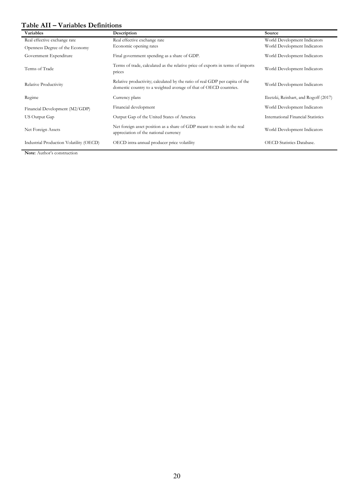# **Table AII – Variables Definitions**

| Variables                               | Description                                                                                                                                       | Source                                    |
|-----------------------------------------|---------------------------------------------------------------------------------------------------------------------------------------------------|-------------------------------------------|
| Real effective exchange rate            | Real effective exchange rate                                                                                                                      | World Development Indicators              |
| Openness Degree of the Economy          | Economic opening rates                                                                                                                            | World Development Indicators              |
| Government Expenditure                  | Final government spending as a share of GDP.                                                                                                      | World Development Indicators              |
| Terms of Trade                          | Terms of trade, calculated as the relative price of exports in terms of imports<br>prices                                                         | World Development Indicators              |
| <b>Relative Productivity</b>            | Relative productivity; calculated by the ratio of real GDP per capita of the<br>domestic country to a weighted average of that of OECD countries. | World Development Indicators              |
| Regime                                  | Currency plans                                                                                                                                    | Ilzetzki, Reinhart, and Rogoff (2017)     |
| Financial Development (M2/GDP)          | Financial development                                                                                                                             | World Development Indicators              |
| US Output Gap                           | Output Gap of the United States of America                                                                                                        | <b>International Financial Statistics</b> |
| Net Foreign Assets                      | Net foreign asset position as a share of GDP meant to result in the real<br>appreciation of the national currency                                 | World Development Indicators              |
| Industrial Production Volatility (OECD) | OECD intra-annual producer price volatility                                                                                                       | <b>OECD</b> Statistics Database.          |

**Note**: Author's construction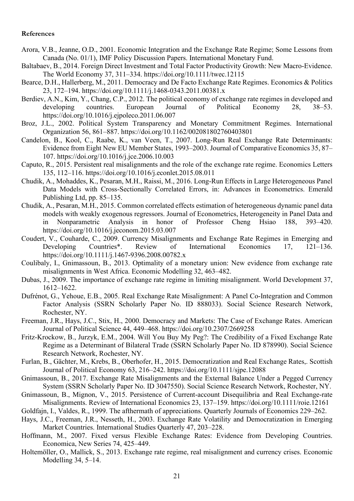### **References**

- Arora, V.B., Jeanne, O.D., 2001. Economic Integration and the Exchange Rate Regime; Some Lessons from Canada (No. 01/1), IMF Policy Discussion Papers. International Monetary Fund.
- Baltabaev, B., 2014. Foreign Direct Investment and Total Factor Productivity Growth: New Macro-Evidence. The World Economy 37, 311–334. https://doi.org/10.1111/twec.12115
- Bearce, D.H., Hallerberg, M., 2011. Democracy and De Facto Exchange Rate Regimes. Economics & Politics 23, 172–194. https://doi.org/10.1111/j.1468-0343.2011.00381.x
- Berdiev, A.N., Kim, Y., Chang, C.P., 2012. The political economy of exchange rate regimes in developed and developing countries. European Journal of Political Economy 28, 38–53. https://doi.org/10.1016/j.ejpoleco.2011.06.007
- Broz, J.L., 2002. Political System Transparency and Monetary Commitment Regimes. International Organization 56, 861–887. https://doi.org/10.1162/002081802760403801
- Candelon, B., Kool, C., Raabe, K., van Veen, T., 2007. Long-Run Real Exchange Rate Determinants: Evidence from Eight New EU Member States, 1993–2003. Journal of Comparative Economics 35, 87– 107. https://doi.org/10.1016/j.jce.2006.10.003
- Caputo, R., 2015. Persistent real misalignments and the role of the exchange rate regime. Economics Letters 135, 112–116. https://doi.org/10.1016/j.econlet.2015.08.011
- Chudik, A., Mohaddes, K., Pesaran, M.H., Raissi, M., 2016. Long-Run Effects in Large Heterogeneous Panel Data Models with Cross-Sectionally Correlated Errors, in: Advances in Econometrics. Emerald Publishing Ltd, pp. 85–135.
- Chudik, A., Pesaran, M.H., 2015. Common correlated effects estimation of heterogeneous dynamic panel data models with weakly exogenous regressors. Journal of Econometrics, Heterogeneity in Panel Data and in Nonparametric Analysis in honor of Professor Cheng Hsiao 188, 393–420. https://doi.org/10.1016/j.jeconom.2015.03.007
- Coudert, V., Couharde, C., 2009. Currency Misalignments and Exchange Rate Regimes in Emerging and Developing Countries\*. Review of International Economics 17, 121–136. https://doi.org/10.1111/j.1467-9396.2008.00782.x
- Coulibaly, I., Gnimassoun, B., 2013. Optimality of a monetary union: New evidence from exchange rate misalignments in West Africa. Economic Modelling 32, 463–482.
- Dubas, J., 2009. The importance of exchange rate regime in limiting misalignment. World Development 37, 1612–1622.
- Dufrénot, G., Yehoue, E.B., 2005. Real Exchange Rate Misalignment: A Panel Co-Integration and Common Factor Analysis (SSRN Scholarly Paper No. ID 888033). Social Science Research Network, Rochester, NY.
- Freeman, J.R., Hays, J.C., Stix, H., 2000. Democracy and Markets: The Case of Exchange Rates. American Journal of Political Science 44, 449–468. https://doi.org/10.2307/2669258
- Fritz-Krockow, B., Jurzyk, E.M., 2004. Will You Buy My Peg?: The Credibility of a Fixed Exchange Rate Regime as a Determinant of Bilateral Trade (SSRN Scholarly Paper No. ID 878990). Social Science Research Network, Rochester, NY.
- Furlan, B., Gächter, M., Krebs, B., Oberhofer, H., 2015. Democratization and Real Exchange Rates,. Scottish Journal of Political Economy 63, 216–242. https://doi.org/10.1111/sjpe.12088
- Gnimassoun, B., 2017. Exchange Rate Misalignments and the External Balance Under a Pegged Currency System (SSRN Scholarly Paper No. ID 3047550). Social Science Research Network, Rochester, NY.
- Gnimassoun, B., Mignon, V., 2015. Persistence of Current-account Disequilibria and Real Exchange-rate Misalignments. Review of International Economics 23, 137–159. https://doi.org/10.1111/roie.12161
- Goldfajn, I., Valdes, R., 1999. The afthermath of appreciations. Quarterly Journals of Economics 229–262.
- Hays, J.C., Freeman, J.R., Nesseth, H., 2003. Exchange Rate Volatility and Democratization in Emerging Market Countries. International Studies Quarterly 47, 203–228.
- Hoffmann, M., 2007. Fixed versus Flexible Exchange Rates: Evidence from Developing Countries. Economica, New Series 74, 425–449.
- Holtemöller, O., Mallick, S., 2013. Exchange rate regime, real misalignment and currency crises. Economic Modelling 34, 5–14.